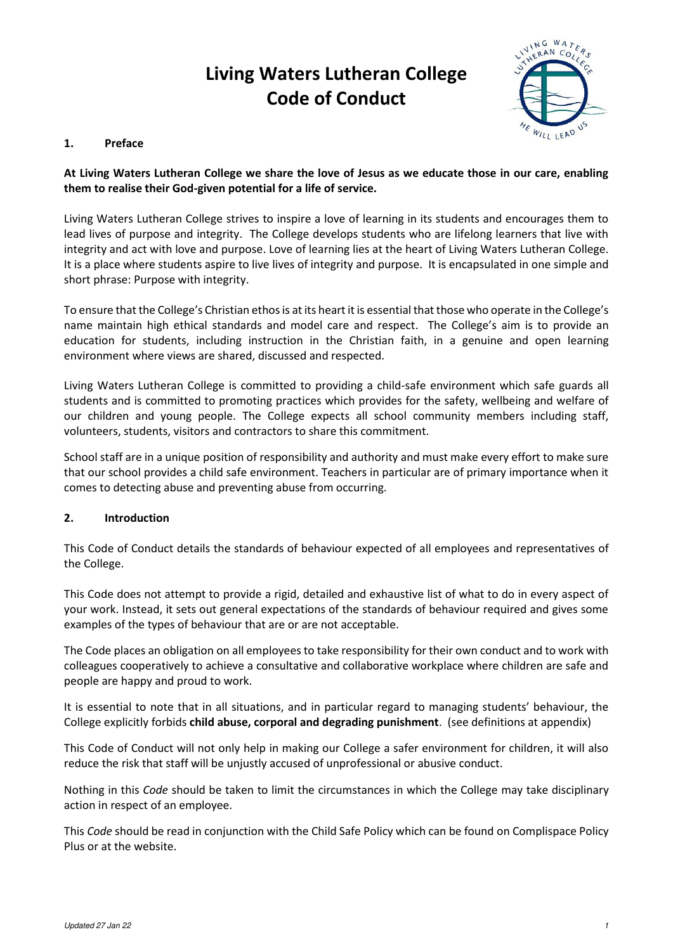# **Living Waters Lutheran College Code of Conduct**



# **1. Preface**

# **At Living Waters Lutheran College we share the love of Jesus as we educate those in our care, enabling them to realise their God-given potential for a life of service.**

Living Waters Lutheran College strives to inspire a love of learning in its students and encourages them to lead lives of purpose and integrity. The College develops students who are lifelong learners that live with integrity and act with love and purpose. Love of learning lies at the heart of Living Waters Lutheran College. It is a place where students aspire to live lives of integrity and purpose. It is encapsulated in one simple and short phrase: Purpose with integrity.

To ensure that the College's Christian ethos is at its heart it is essential that those who operate in the College's name maintain high ethical standards and model care and respect. The College's aim is to provide an education for students, including instruction in the Christian faith, in a genuine and open learning environment where views are shared, discussed and respected.

Living Waters Lutheran College is committed to providing a child-safe environment which safe guards all students and is committed to promoting practices which provides for the safety, wellbeing and welfare of our children and young people. The College expects all school community members including staff, volunteers, students, visitors and contractors to share this commitment.

School staff are in a unique position of responsibility and authority and must make every effort to make sure that our school provides a child safe environment. Teachers in particular are of primary importance when it comes to detecting abuse and preventing abuse from occurring.

### **2. Introduction**

This Code of Conduct details the standards of behaviour expected of all employees and representatives of the College.

This Code does not attempt to provide a rigid, detailed and exhaustive list of what to do in every aspect of your work. Instead, it sets out general expectations of the standards of behaviour required and gives some examples of the types of behaviour that are or are not acceptable.

The Code places an obligation on all employees to take responsibility for their own conduct and to work with colleagues cooperatively to achieve a consultative and collaborative workplace where children are safe and people are happy and proud to work.

It is essential to note that in all situations, and in particular regard to managing students' behaviour, the College explicitly forbids **child abuse, corporal and degrading punishment**. (see definitions at appendix)

This Code of Conduct will not only help in making our College a safer environment for children, it will also reduce the risk that staff will be unjustly accused of unprofessional or abusive conduct.

Nothing in this *Code* should be taken to limit the circumstances in which the College may take disciplinary action in respect of an employee.

This *Code* should be read in conjunction with the Child Safe Policy which can be found on Complispace Policy Plus or at the website.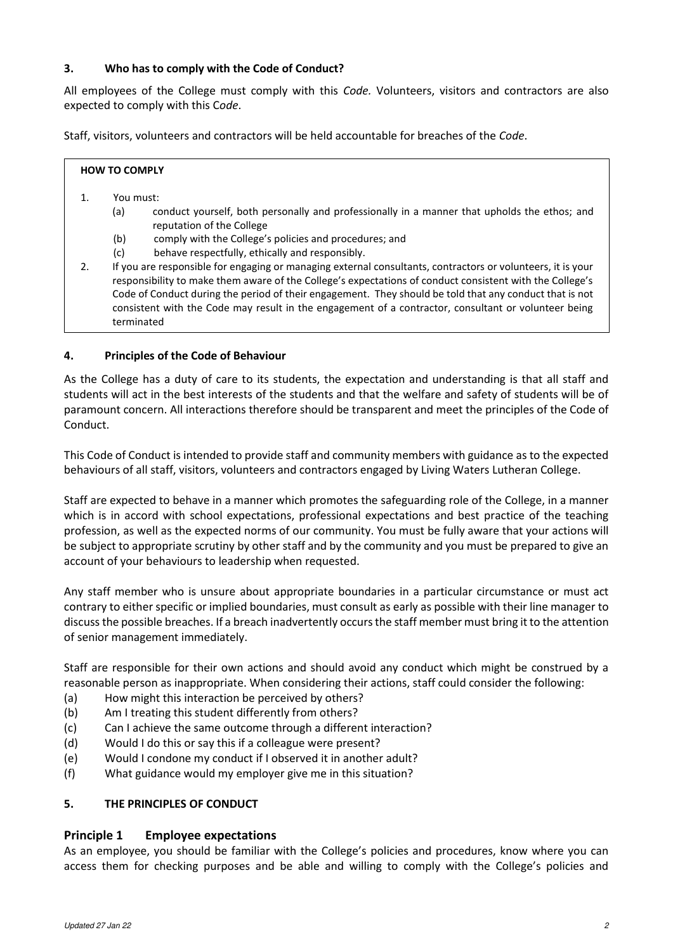# **3. Who has to comply with the Code of Conduct?**

All employees of the College must comply with this *Code.* Volunteers, visitors and contractors are also expected to comply with this C*ode*.

Staff, visitors, volunteers and contractors will be held accountable for breaches of the *Code*.

| <b>HOW TO COMPLY</b> |     |                                                                                                                           |  |
|----------------------|-----|---------------------------------------------------------------------------------------------------------------------------|--|
|                      |     | You must:                                                                                                                 |  |
|                      | (a) | conduct yourself, both personally and professionally in a manner that upholds the ethos; and<br>reputation of the College |  |

- (b) comply with the College's policies and procedures; and
- (c) behave respectfully, ethically and responsibly.
- 2. If you are responsible for engaging or managing external consultants, contractors or volunteers, it is your responsibility to make them aware of the College's expectations of conduct consistent with the College's Code of Conduct during the period of their engagement. They should be told that any conduct that is not consistent with the Code may result in the engagement of a contractor, consultant or volunteer being terminated

### **4. Principles of the Code of Behaviour**

As the College has a duty of care to its students, the expectation and understanding is that all staff and students will act in the best interests of the students and that the welfare and safety of students will be of paramount concern. All interactions therefore should be transparent and meet the principles of the Code of Conduct.

This Code of Conduct is intended to provide staff and community members with guidance as to the expected behaviours of all staff, visitors, volunteers and contractors engaged by Living Waters Lutheran College.

Staff are expected to behave in a manner which promotes the safeguarding role of the College, in a manner which is in accord with school expectations, professional expectations and best practice of the teaching profession, as well as the expected norms of our community. You must be fully aware that your actions will be subject to appropriate scrutiny by other staff and by the community and you must be prepared to give an account of your behaviours to leadership when requested.

Any staff member who is unsure about appropriate boundaries in a particular circumstance or must act contrary to either specific or implied boundaries, must consult as early as possible with their line manager to discuss the possible breaches. If a breach inadvertently occurs the staff member must bring it to the attention of senior management immediately.

Staff are responsible for their own actions and should avoid any conduct which might be construed by a reasonable person as inappropriate. When considering their actions, staff could consider the following:

- (a) How might this interaction be perceived by others?
- (b) Am I treating this student differently from others?
- (c) Can I achieve the same outcome through a different interaction?
- (d) Would I do this or say this if a colleague were present?
- (e) Would I condone my conduct if I observed it in another adult?
- (f) What guidance would my employer give me in this situation?

### **5. THE PRINCIPLES OF CONDUCT**

### **Principle 1 Employee expectations**

As an employee, you should be familiar with the College's policies and procedures, know where you can access them for checking purposes and be able and willing to comply with the College's policies and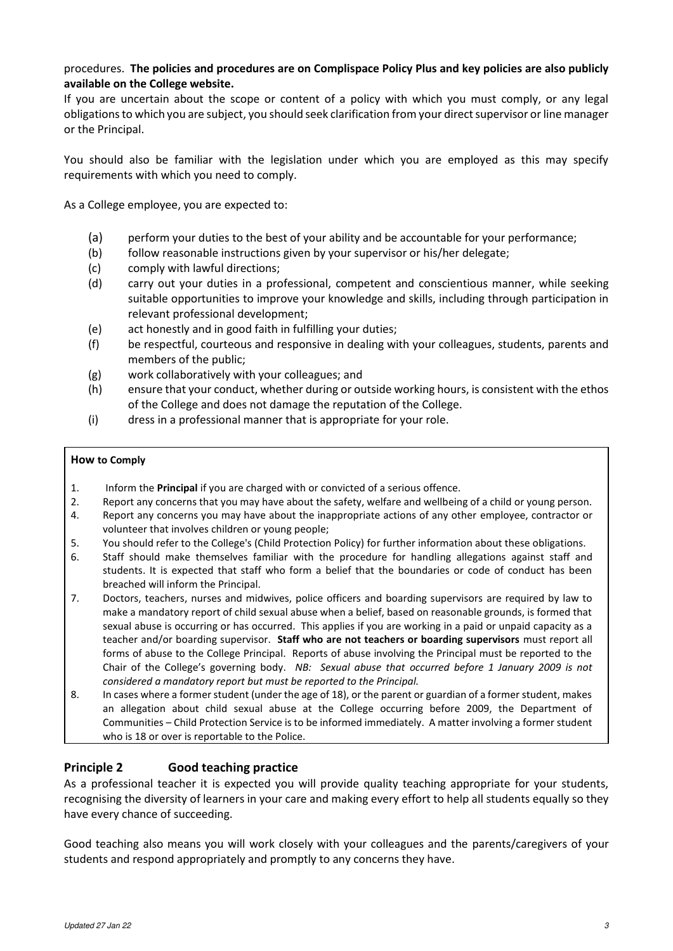# procedures. **The policies and procedures are on Complispace Policy Plus and key policies are also publicly available on the College website.**

If you are uncertain about the scope or content of a policy with which you must comply, or any legal obligations to which you are subject, you should seek clarification from your direct supervisor or line manager or the Principal.

You should also be familiar with the legislation under which you are employed as this may specify requirements with which you need to comply.

As a College employee, you are expected to:

- (a) perform your duties to the best of your ability and be accountable for your performance;
- (b) follow reasonable instructions given by your supervisor or his/her delegate;
- (c) comply with lawful directions;
- (d) carry out your duties in a professional, competent and conscientious manner, while seeking suitable opportunities to improve your knowledge and skills, including through participation in relevant professional development;
- (e) act honestly and in good faith in fulfilling your duties;
- (f) be respectful, courteous and responsive in dealing with your colleagues, students, parents and members of the public;
- (g) work collaboratively with your colleagues; and
- (h) ensure that your conduct, whether during or outside working hours, is consistent with the ethos of the College and does not damage the reputation of the College.
- (i) dress in a professional manner that is appropriate for your role.

### **How to Comply**

- 1. Inform the **Principal** if you are charged with or convicted of a serious offence.
- 2. Report any concerns that you may have about the safety, welfare and wellbeing of a child or young person.
- 4. Report any concerns you may have about the inappropriate actions of any other employee, contractor or volunteer that involves children or young people;
- 5. You should refer to the College's (Child Protection Policy) for further information about these obligations.
- 6. Staff should make themselves familiar with the procedure for handling allegations against staff and students. It is expected that staff who form a belief that the boundaries or code of conduct has been breached will inform the Principal.
- 7. Doctors, teachers, nurses and midwives, police officers and boarding supervisors are required by law to make a mandatory report of child sexual abuse when a belief, based on reasonable grounds, is formed that sexual abuse is occurring or has occurred. This applies if you are working in a paid or unpaid capacity as a teacher and/or boarding supervisor. **Staff who are not teachers or boarding supervisors** must report all forms of abuse to the College Principal. Reports of abuse involving the Principal must be reported to the Chair of the College's governing body. *NB: Sexual abuse that occurred before 1 January 2009 is not considered a mandatory report but must be reported to the Principal.*
- 8. In cases where a former student (under the age of 18), or the parent or guardian of a former student, makes an allegation about child sexual abuse at the College occurring before 2009, the Department of Communities – Child Protection Service is to be informed immediately. A matter involving a former student who is 18 or over is reportable to the Police.

# **Principle 2 Good teaching practice**

As a professional teacher it is expected you will provide quality teaching appropriate for your students, recognising the diversity of learners in your care and making every effort to help all students equally so they have every chance of succeeding.

Good teaching also means you will work closely with your colleagues and the parents/caregivers of your students and respond appropriately and promptly to any concerns they have.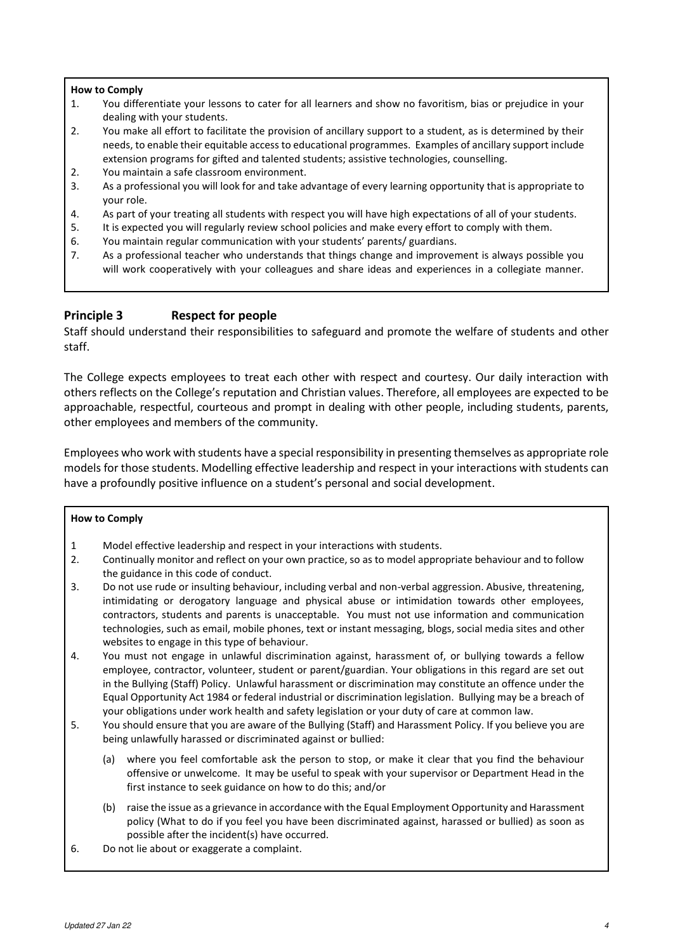#### **How to Comply**

- 1. You differentiate your lessons to cater for all learners and show no favoritism, bias or prejudice in your dealing with your students.
- 2. You make all effort to facilitate the provision of ancillary support to a student, as is determined by their needs, to enable their equitable access to educational programmes. Examples of ancillary support include extension programs for gifted and talented students; assistive technologies, counselling.
- 2. You maintain a safe classroom environment.
- 3. As a professional you will look for and take advantage of every learning opportunity that is appropriate to your role.
- 4. As part of your treating all students with respect you will have high expectations of all of your students.
- 5. It is expected you will regularly review school policies and make every effort to comply with them.
- 6. You maintain regular communication with your students' parents/ guardians.
- 7. As a professional teacher who understands that things change and improvement is always possible you will work cooperatively with your colleagues and share ideas and experiences in a collegiate manner.

# **Principle 3 Respect for people**

Staff should understand their responsibilities to safeguard and promote the welfare of students and other staff.

The College expects employees to treat each other with respect and courtesy. Our daily interaction with others reflects on the College's reputation and Christian values. Therefore, all employees are expected to be approachable, respectful, courteous and prompt in dealing with other people, including students, parents, other employees and members of the community.

Employees who work with students have a special responsibility in presenting themselves as appropriate role models for those students. Modelling effective leadership and respect in your interactions with students can have a profoundly positive influence on a student's personal and social development.

- 1 Model effective leadership and respect in your interactions with students.
- 2. Continually monitor and reflect on your own practice, so as to model appropriate behaviour and to follow the guidance in this code of conduct.
- 3. Do not use rude or insulting behaviour, including verbal and non-verbal aggression. Abusive, threatening, intimidating or derogatory language and physical abuse or intimidation towards other employees, contractors, students and parents is unacceptable. You must not use information and communication technologies, such as email, mobile phones, text or instant messaging, blogs, social media sites and other websites to engage in this type of behaviour.
- 4. You must not engage in unlawful discrimination against, harassment of, or bullying towards a fellow employee, contractor, volunteer, student or parent/guardian. Your obligations in this regard are set out in the Bullying (Staff) Policy. Unlawful harassment or discrimination may constitute an offence under the Equal Opportunity Act 1984 or federal industrial or discrimination legislation. Bullying may be a breach of your obligations under work health and safety legislation or your duty of care at common law.
- 5. You should ensure that you are aware of the Bullying (Staff) and Harassment Policy. If you believe you are being unlawfully harassed or discriminated against or bullied:
	- (a) where you feel comfortable ask the person to stop, or make it clear that you find the behaviour offensive or unwelcome. It may be useful to speak with your supervisor or Department Head in the first instance to seek guidance on how to do this; and/or
	- (b) raise the issue as a grievance in accordance with the Equal Employment Opportunity and Harassment policy (What to do if you feel you have been discriminated against, harassed or bullied) as soon as possible after the incident(s) have occurred.
- 6. Do not lie about or exaggerate a complaint.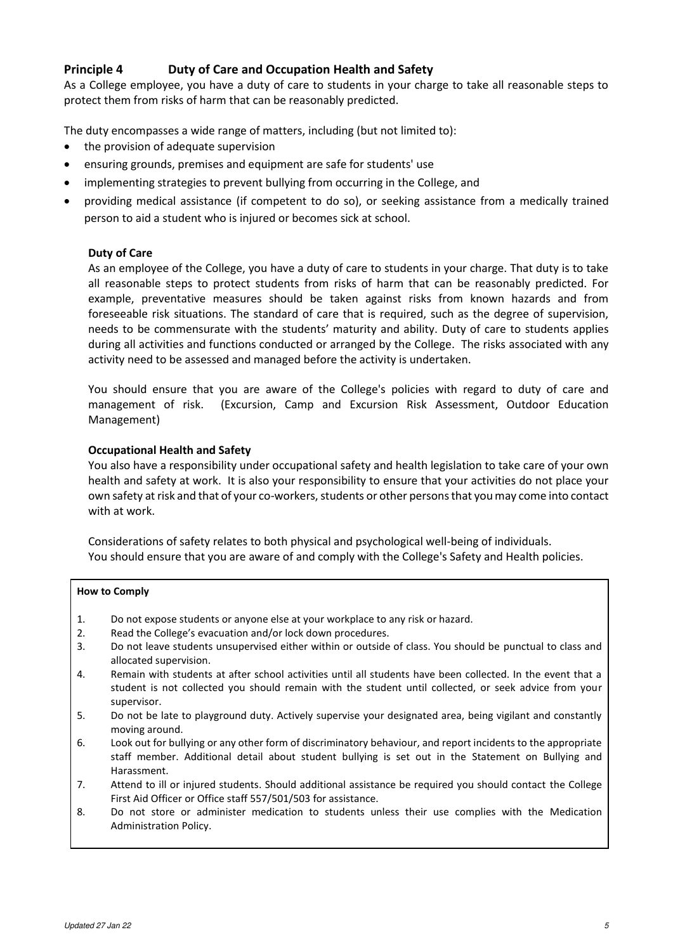# **Principle 4 Duty of Care and Occupation Health and Safety**

As a College employee, you have a duty of care to students in your charge to take all reasonable steps to protect them from risks of harm that can be reasonably predicted.

The duty encompasses a wide range of matters, including (but not limited to):

- the provision of adequate supervision
- ensuring grounds, premises and equipment are safe for students' use
- implementing strategies to prevent bullying from occurring in the College, and
- providing medical assistance (if competent to do so), or seeking assistance from a medically trained person to aid a student who is injured or becomes sick at school.

### **Duty of Care**

As an employee of the College, you have a duty of care to students in your charge. That duty is to take all reasonable steps to protect students from risks of harm that can be reasonably predicted. For example, preventative measures should be taken against risks from known hazards and from foreseeable risk situations. The standard of care that is required, such as the degree of supervision, needs to be commensurate with the students' maturity and ability. Duty of care to students applies during all activities and functions conducted or arranged by the College. The risks associated with any activity need to be assessed and managed before the activity is undertaken.

You should ensure that you are aware of the College's policies with regard to duty of care and management of risk. (Excursion, Camp and Excursion Risk Assessment, Outdoor Education Management)

### **Occupational Health and Safety**

You also have a responsibility under occupational safety and health legislation to take care of your own health and safety at work. It is also your responsibility to ensure that your activities do not place your own safety at risk and that of your co-workers, students or other persons that you may come into contact with at work.

Considerations of safety relates to both physical and psychological well-being of individuals. You should ensure that you are aware of and comply with the College's Safety and Health policies.

- 1. Do not expose students or anyone else at your workplace to any risk or hazard.
- 2. Read the College's evacuation and/or lock down procedures.
- 3. Do not leave students unsupervised either within or outside of class. You should be punctual to class and allocated supervision.
- 4. Remain with students at after school activities until all students have been collected. In the event that a student is not collected you should remain with the student until collected, or seek advice from your supervisor.
- 5. Do not be late to playground duty. Actively supervise your designated area, being vigilant and constantly moving around.
- 6. Look out for bullying or any other form of discriminatory behaviour, and report incidents to the appropriate staff member. Additional detail about student bullying is set out in the Statement on Bullying and Harassment.
- 7. Attend to ill or injured students. Should additional assistance be required you should contact the College First Aid Officer or Office staff 557/501/503 for assistance.
- 8. Do not store or administer medication to students unless their use complies with the Medication Administration Policy.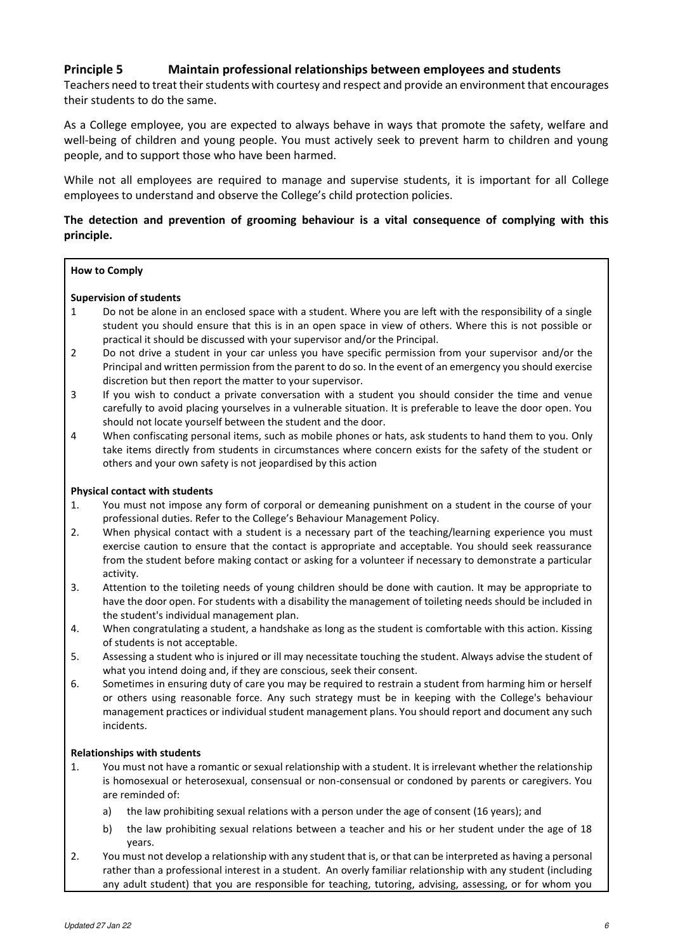# **Principle 5 Maintain professional relationships between employees and students**

Teachers need to treat their students with courtesy and respect and provide an environment that encourages their students to do the same.

As a College employee, you are expected to always behave in ways that promote the safety, welfare and well-being of children and young people. You must actively seek to prevent harm to children and young people, and to support those who have been harmed.

While not all employees are required to manage and supervise students, it is important for all College employees to understand and observe the College['s child protection policies](https://www.det.nsw.edu.au/policiesinter/category/search.do;jsessionid=996b1e21bc27d844859b076404e91c6a52b3e8a22d7.e34Sa3ePc30Sbi0LbxuPax0KbxuSe0;jsessionid=996b1e21bc27d844859b076404e91c6a52b3e8a22d7.e34Sa3ePc30Sbi0LbxuPax0KbxuSe0?level=Schools&categories=Schools|Wellbeing|Child+protection).

# **The detection and prevention of grooming behaviour is a vital consequence of complying with this principle.**

#### **How to Comply**

#### **Supervision of students**

- 1 Do not be alone in an enclosed space with a student. Where you are left with the responsibility of a single student you should ensure that this is in an open space in view of others. Where this is not possible or practical it should be discussed with your supervisor and/or the Principal.
- 2 Do not drive a student in your car unless you have specific permission from your supervisor and/or the Principal and written permission from the parent to do so. In the event of an emergency you should exercise discretion but then report the matter to your supervisor.
- 3 If you wish to conduct a private conversation with a student you should consider the time and venue carefully to avoid placing yourselves in a vulnerable situation. It is preferable to leave the door open. You should not locate yourself between the student and the door.
- 4 When confiscating personal items, such as mobile phones or hats, ask students to hand them to you. Only take items directly from students in circumstances where concern exists for the safety of the student or others and your own safety is not jeopardised by this action

#### **Physical contact with students**

- 1. You must not impose any form of corporal or demeaning punishment on a student in the course of your professional duties. Refer to the College's Behaviour Management Policy.
- 2. When physical contact with a student is a necessary part of the teaching/learning experience you must exercise caution to ensure that the contact is appropriate and acceptable. You should seek reassurance from the student before making contact or asking for a volunteer if necessary to demonstrate a particular activity.
- 3. Attention to the toileting needs of young children should be done with caution. It may be appropriate to have the door open. For students with a disability the management of toileting needs should be included in the student's individual management plan.
- 4. When congratulating a student, a handshake as long as the student is comfortable with this action. Kissing of students is not acceptable.
- 5. Assessing a student who is injured or ill may necessitate touching the student. Always advise the student of what you intend doing and, if they are conscious, seek their consent.
- 6. Sometimes in ensuring duty of care you may be required to restrain a student from harming him or herself or others using reasonable force. Any such strategy must be in keeping with the College's behaviour management practices or individual student management plans. You should report and document any such incidents.

#### **Relationships with students**

- 1. You must not have a romantic or sexual relationship with a student. It is irrelevant whether the relationship is homosexual or heterosexual, consensual or non-consensual or condoned by parents or caregivers. You are reminded of:
	- a) the law prohibiting sexual relations with a person under the age of consent (16 years); and
	- b) the law prohibiting sexual relations between a teacher and his or her student under the age of 18 years.
- 2. You must not develop a relationship with any student that is, or that can be interpreted as having a personal rather than a professional interest in a student. An overly familiar relationship with any student (including any adult student) that you are responsible for teaching, tutoring, advising, assessing, or for whom you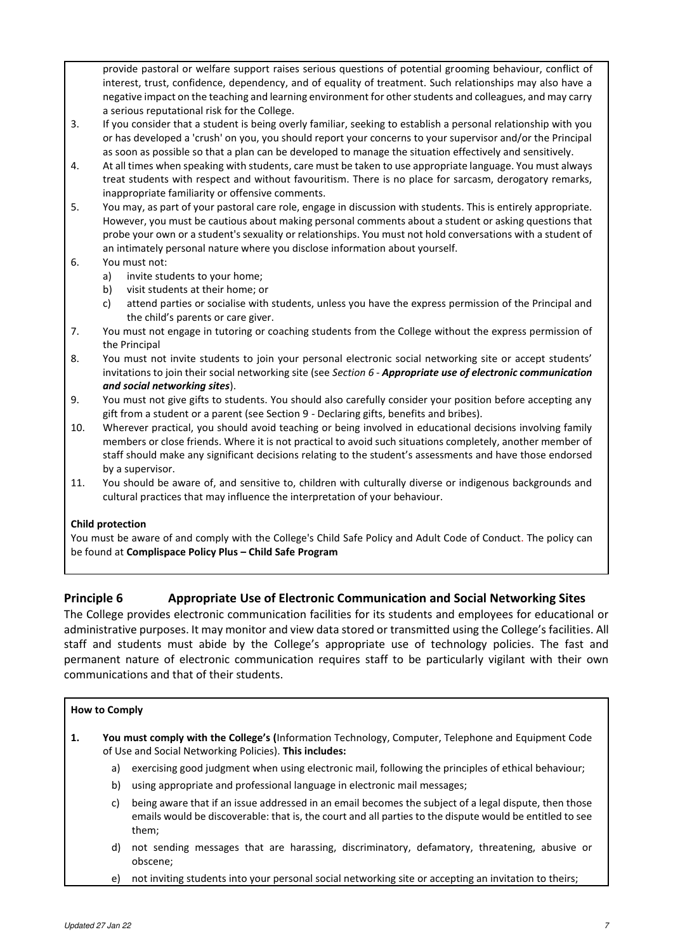provide pastoral or welfare support raises serious questions of potential grooming behaviour, conflict of interest, trust, confidence, dependency, and of equality of treatment. Such relationships may also have a negative impact on the teaching and learning environment for other students and colleagues, and may carry a serious reputational risk for the College.

- 3. If you consider that a student is being overly familiar, seeking to establish a personal relationship with you or has developed a 'crush' on you, you should report your concerns to your supervisor and/or the Principal as soon as possible so that a plan can be developed to manage the situation effectively and sensitively.
- 4. At all times when speaking with students, care must be taken to use appropriate language. You must always treat students with respect and without favouritism. There is no place for sarcasm, derogatory remarks, inappropriate familiarity or offensive comments.
- 5. You may, as part of your pastoral care role, engage in discussion with students. This is entirely appropriate. However, you must be cautious about making personal comments about a student or asking questions that probe your own or a student's sexuality or relationships. You must not hold conversations with a student of an intimately personal nature where you disclose information about yourself.
- 6. You must not:
	- a) invite students to your home;
	- b) visit students at their home; or
	- c) attend parties or socialise with students, unless you have the express permission of the Principal and the child's parents or care giver.
- 7. You must not engage in tutoring or coaching students from the College without the express permission of the Principal
- 8. You must not invite students to join your personal electronic social networking site or accept students' invitations to join their social networking site (see *Section 6 - Appropriate use of electronic communication and social networking sites*).
- 9. You must not give gifts to students. You should also carefully consider your position before accepting any gift from a student or a parent (see Section 9 - Declaring gifts, benefits and bribes).
- 10. Wherever practical, you should avoid teaching or being involved in educational decisions involving family members or close friends. Where it is not practical to avoid such situations completely, another member of staff should make any significant decisions relating to the student's assessments and have those endorsed by a supervisor.
- 11. You should be aware of, and sensitive to, children with culturally diverse or indigenous backgrounds and cultural practices that may influence the interpretation of your behaviour.

### **Child protection**

You must be aware of and comply with the College's Child Safe Policy and Adult Code of Conduct. The policy can be found at **Complispace Policy Plus – Child Safe Program** 

# **Principle 6 Appropriate Use of Electronic Communication and Social Networking Sites**

The College provides electronic communication facilities for its students and employees for educational or administrative purposes. It may monitor and view data stored or transmitted using the College's facilities. All staff and students must abide by the College's appropriate use of technology policies. The fast and permanent nature of electronic communication requires staff to be particularly vigilant with their own communications and that of their students.

- **1. You must comply with the College's (**Information Technology, Computer, Telephone and Equipment Code of Use and Social Networking Policies). **This includes:**
	- a) exercising good judgment when using electronic mail, following the principles of ethical behaviour;
	- b) using appropriate and professional language in electronic mail messages;
	- c) being aware that if an issue addressed in an email becomes the subject of a legal dispute, then those emails would be discoverable: that is, the court and all parties to the dispute would be entitled to see them;
	- d) not sending messages that are harassing, discriminatory, defamatory, threatening, abusive or obscene;
	- e) not inviting students into your personal social networking site or accepting an invitation to theirs;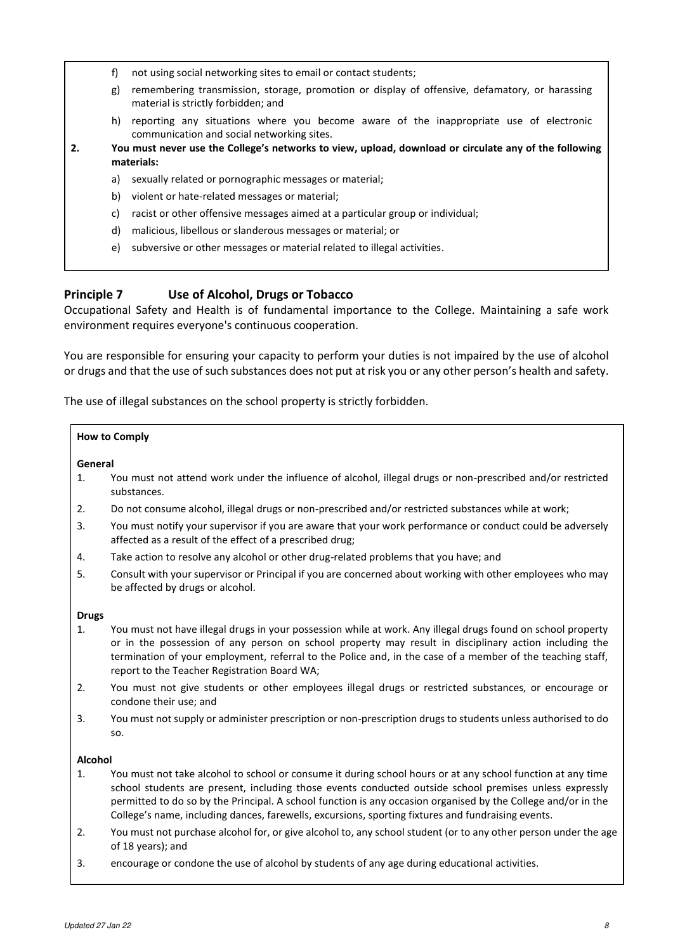- f) not using social networking sites to email or contact students;
- g) remembering transmission, storage, promotion or display of offensive, defamatory, or harassing material is strictly forbidden; and
- h) reporting any situations where you become aware of the inappropriate use of electronic communication and social networking sites.
- **2. You must never use the College's networks to view, upload, download or circulate any of the following materials:**
	- a) sexually related or pornographic messages or material;
	- b) violent or hate-related messages or material;
	- c) racist or other offensive messages aimed at a particular group or individual;
	- d) malicious, libellous or slanderous messages or material; or
	- e) subversive or other messages or material related to illegal activities.

# **Principle 7 Use of Alcohol, Drugs or Tobacco**

Occupational Safety and Health is of fundamental importance to the College. Maintaining a safe work environment requires everyone's continuous cooperation.

You are responsible for ensuring your capacity to perform your duties is not impaired by the use of alcohol or drugs and that the use of such substances does not put at risk you or any other person's health and safety.

The use of illegal substances on the school property is strictly forbidden.

#### **How to Comply**

#### **General**

- 1. You must not attend work under the influence of alcohol, illegal drugs or non-prescribed and/or restricted substances.
- 2. Do not consume alcohol, illegal drugs or non-prescribed and/or restricted substances while at work;
- 3. You must notify your supervisor if you are aware that your work performance or conduct could be adversely affected as a result of the effect of a prescribed drug;
- 4. Take action to resolve any alcohol or other drug-related problems that you have; and
- 5. Consult with your supervisor or Principal if you are concerned about working with other employees who may be affected by drugs or alcohol.

#### **Drugs**

- 1. You must not have illegal drugs in your possession while at work. Any illegal drugs found on school property or in the possession of any person on school property may result in disciplinary action including the termination of your employment, referral to the Police and, in the case of a member of the teaching staff, report to the Teacher Registration Board WA;
- 2. You must not give students or other employees illegal drugs or restricted substances, or encourage or condone their use; and
- 3. You must not supply or administer prescription or non-prescription drugs to students unless authorised to do so.

#### **Alcohol**

- 1. You must not take alcohol to school or consume it during school hours or at any school function at any time school students are present, including those events conducted outside school premises unless expressly permitted to do so by the Principal. A school function is any occasion organised by the College and/or in the College's name, including dances, farewells, excursions, sporting fixtures and fundraising events.
- 2. You must not purchase alcohol for, or give alcohol to, any school student (or to any other person under the age of 18 years); and
- 3. encourage or condone the use of alcohol by students of any age during educational activities.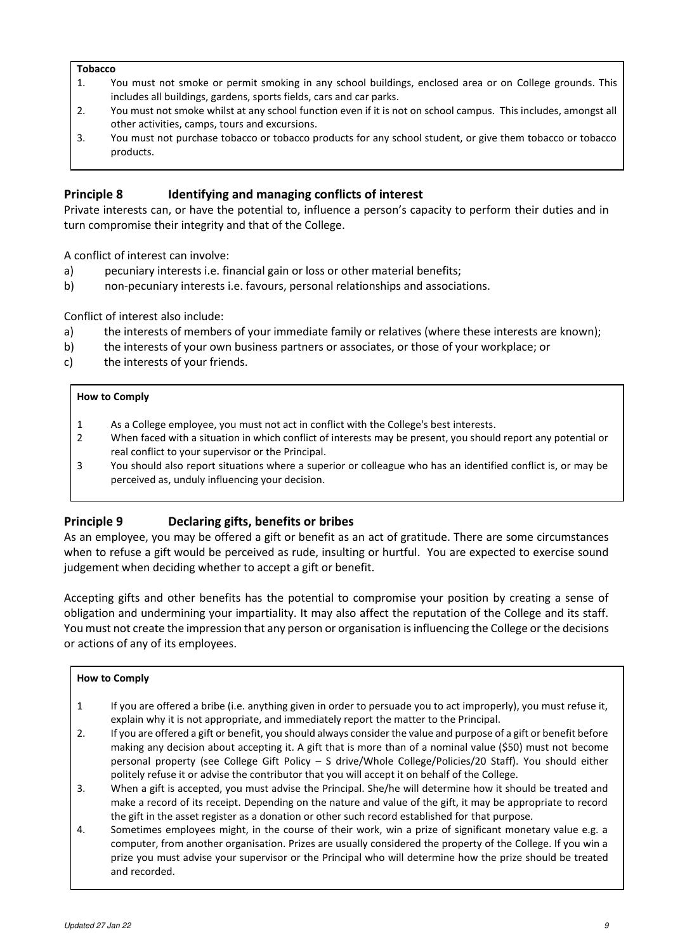#### **Tobacco**

- 1. You must not smoke or permit smoking in any school buildings, enclosed area or on College grounds. This includes all buildings, gardens, sports fields, cars and car parks.
- 2. You must not smoke whilst at any school function even if it is not on school campus. This includes, amongst all other activities, camps, tours and excursions.
- 3. You must not purchase tobacco or tobacco products for any school student, or give them tobacco or tobacco products.

# **Principle 8 Identifying and managing conflicts of interest**

Private interests can, or have the potential to, influence a person's capacity to perform their duties and in turn compromise their integrity and that of the College.

A conflict of interest can involve:

- a) pecuniary interests i.e. financial gain or loss or other material benefits;
- b) non-pecuniary interests i.e. favours, personal relationships and associations.

Conflict of interest also include:

- a) the interests of members of your immediate family or relatives (where these interests are known);
- b) the interests of your own business partners or associates, or those of your workplace; or
- c) the interests of your friends.

#### **How to Comply**

- 1 As a College employee, you must not act in conflict with the College's best interests.
- 2 When faced with a situation in which conflict of interests may be present, you should report any potential or real conflict to your supervisor or the Principal.
- 3 You should also report situations where a superior or colleague who has an identified conflict is, or may be perceived as, unduly influencing your decision.

# **Principle 9 Declaring gifts, benefits or bribes**

As an employee, you may be offered a gift or benefit as an act of gratitude. There are some circumstances when to refuse a gift would be perceived as rude, insulting or hurtful. You are expected to exercise sound judgement when deciding whether to accept a gift or benefit.

Accepting gifts and other benefits has the potential to compromise your position by creating a sense of obligation and undermining your impartiality. It may also affect the reputation of the College and its staff. You must not create the impression that any person or organisation is influencing the College or the decisions or actions of any of its employees.

- 1 If you are offered a bribe (i.e. anything given in order to persuade you to act improperly), you must refuse it, explain why it is not appropriate, and immediately report the matter to the Principal.
- 2. If you are offered a gift or benefit, you should always consider the value and purpose of a gift or benefit before making any decision about accepting it. A gift that is more than of a nominal value (\$50) must not become personal property (see College Gift Policy – S drive/Whole College/Policies/20 Staff). You should either politely refuse it or advise the contributor that you will accept it on behalf of the College.
- 3. When a gift is accepted, you must advise the Principal. She/he will determine how it should be treated and make a record of its receipt. Depending on the nature and value of the gift, it may be appropriate to record the gift in the asset register as a donation or other such record established for that purpose.
- 4. Sometimes employees might, in the course of their work, win a prize of significant monetary value e.g. a computer, from another organisation. Prizes are usually considered the property of the College. If you win a prize you must advise your supervisor or the Principal who will determine how the prize should be treated and recorded.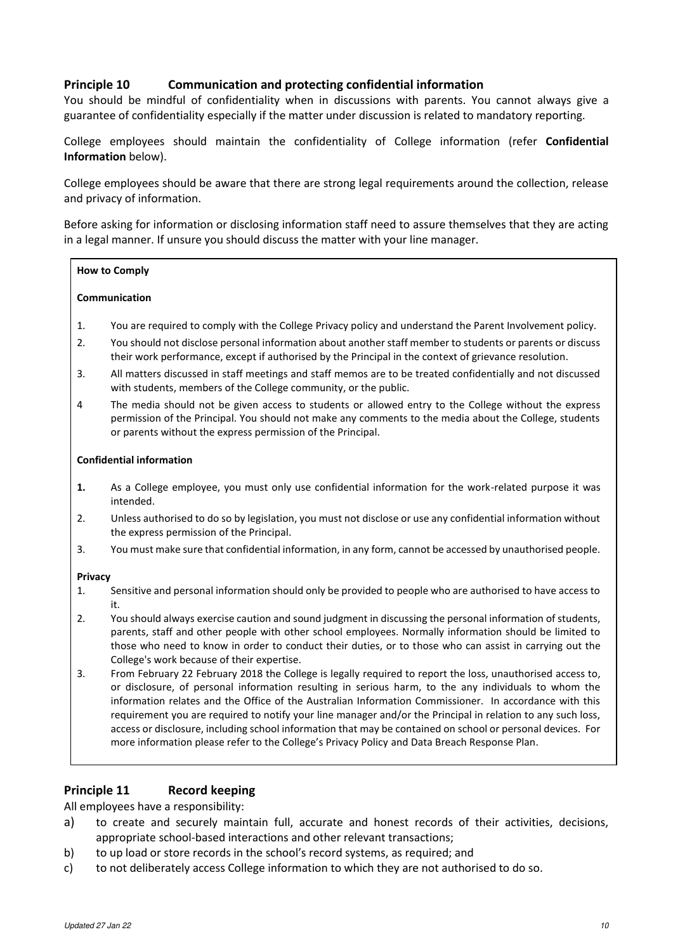# **Principle 10 Communication and protecting confidential information**

You should be mindful of confidentiality when in discussions with parents. You cannot always give a guarantee of confidentiality especially if the matter under discussion is related to mandatory reporting.

College employees should maintain the confidentiality of College information (refer **Confidential Information** below).

College employees should be aware that there are strong legal requirements around the collection, release and privacy of information.

Before asking for information or disclosing information staff need to assure themselves that they are acting in a legal manner. If unsure you should discuss the matter with your line manager.

#### **How to Comply**

#### **Communication**

- 1. You are required to comply with the College Privacy policy and understand the Parent Involvement policy.
- 2. You should not disclose personal information about another staff member to students or parents or discuss their work performance, except if authorised by the Principal in the context of grievance resolution.
- 3. All matters discussed in staff meetings and staff memos are to be treated confidentially and not discussed with students, members of the College community, or the public.
- 4 The media should not be given access to students or allowed entry to the College without the express permission of the Principal. You should not make any comments to the media about the College, students or parents without the express permission of the Principal.

#### **Confidential information**

- **1.** As a College employee, you must only use confidential information for the work-related purpose it was intended.
- 2. Unless authorised to do so by legislation, you must not disclose or use any confidential information without the express permission of the Principal.
- 3. You must make sure that confidential information, in any form, cannot be accessed by unauthorised people.

#### **Privacy**

- 1. Sensitive and personal information should only be provided to people who are authorised to have access to it.
- 2. You should always exercise caution and sound judgment in discussing the personal information of students, parents, staff and other people with other school employees. Normally information should be limited to those who need to know in order to conduct their duties, or to those who can assist in carrying out the College's work because of their expertise.
- 3. From February 22 February 2018 the College is legally required to report the loss, unauthorised access to, or disclosure, of personal information resulting in serious harm, to the any individuals to whom the information relates and the Office of the Australian Information Commissioner. In accordance with this requirement you are required to notify your line manager and/or the Principal in relation to any such loss, access or disclosure, including school information that may be contained on school or personal devices. For more information please refer to the College's Privacy Policy and Data Breach Response Plan.

### **Principle 11 Record keeping**

All employees have a responsibility:

- a) to create and securely maintain full, accurate and honest records of their activities, decisions, appropriate school-based interactions and other relevant transactions;
- b) to up load or store records in the school's record systems, as required; and
- c) to not deliberately access College information to which they are not authorised to do so.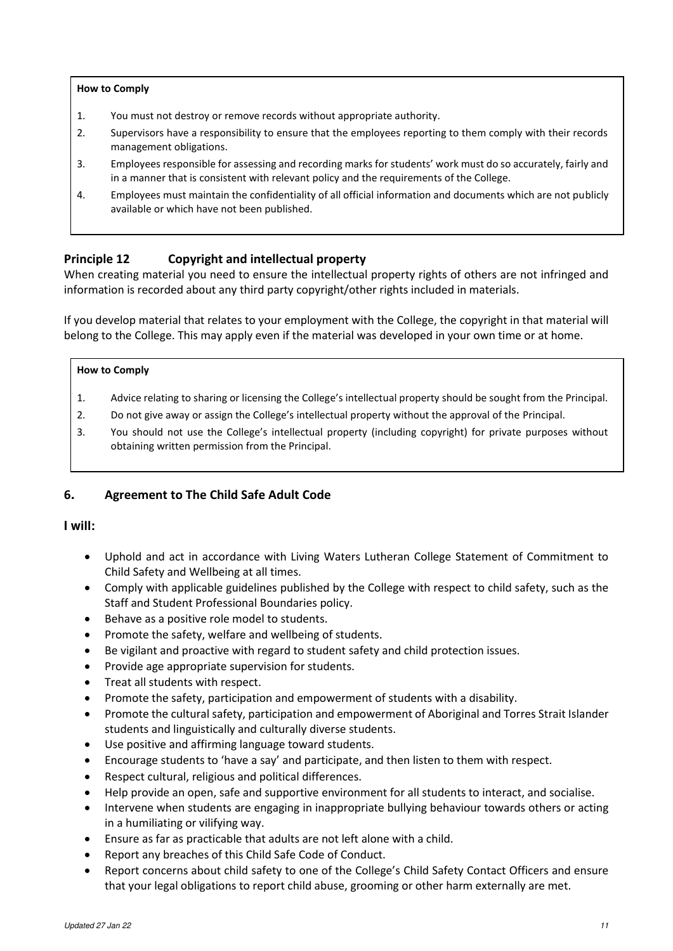#### **How to Comply**

- 1. You must not destroy or remove records without appropriate authority.
- 2. Supervisors have a responsibility to ensure that the employees reporting to them comply with their records management obligations.
- 3. Employees responsible for assessing and recording marks for students' work must do so accurately, fairly and in a manner that is consistent with relevant policy and the requirements of the College.
- 4. Employees must maintain the confidentiality of all official information and documents which are not publicly available or which have not been published.

# **Principle 12 Copyright and intellectual property**

When creating material you need to ensure the intellectual property rights of others are not infringed and information is recorded about any third party copyright/other rights included in materials.

If you develop material that relates to your employment with the College, the copyright in that material will belong to the College. This may apply even if the material was developed in your own time or at home.

#### **How to Comply**

- 1. Advice relating to sharing or licensing the College's intellectual property should be sought from the Principal.
- 2. Do not give away or assign the College's intellectual property without the approval of the Principal.
- 3. You should not use the College's intellectual property (including copyright) for private purposes without obtaining written permission from the Principal.

# **6. Agreement to The Child Safe Adult Code**

### **I will:**

- Uphold and act in accordance with Living Waters Lutheran College Statement of Commitment to Child Safety and Wellbeing at all times.
- Comply with applicable guidelines published by the College with respect to child safety, such as the Staff and Student Professional Boundaries policy.
- Behave as a positive role model to students.
- Promote the safety, welfare and wellbeing of students.
- Be vigilant and proactive with regard to student safety and child protection issues.
- Provide age appropriate supervision for students.
- Treat all students with respect.
- Promote the safety, participation and empowerment of students with a disability.
- Promote the cultural safety, participation and empowerment of Aboriginal and Torres Strait Islander students and linguistically and culturally diverse students.
- Use positive and affirming language toward students.
- Encourage students to 'have a say' and participate, and then listen to them with respect.
- Respect cultural, religious and political differences.
- Help provide an open, safe and supportive environment for all students to interact, and socialise.
- Intervene when students are engaging in inappropriate bullying behaviour towards others or acting in a humiliating or vilifying way.
- Ensure as far as practicable that adults are not left alone with a child.
- Report any breaches of this Child Safe Code of Conduct.
- Report concerns about child safety to one of the College's Child Safety Contact Officers and ensure that your legal obligations to report child abuse, grooming or other harm externally are met.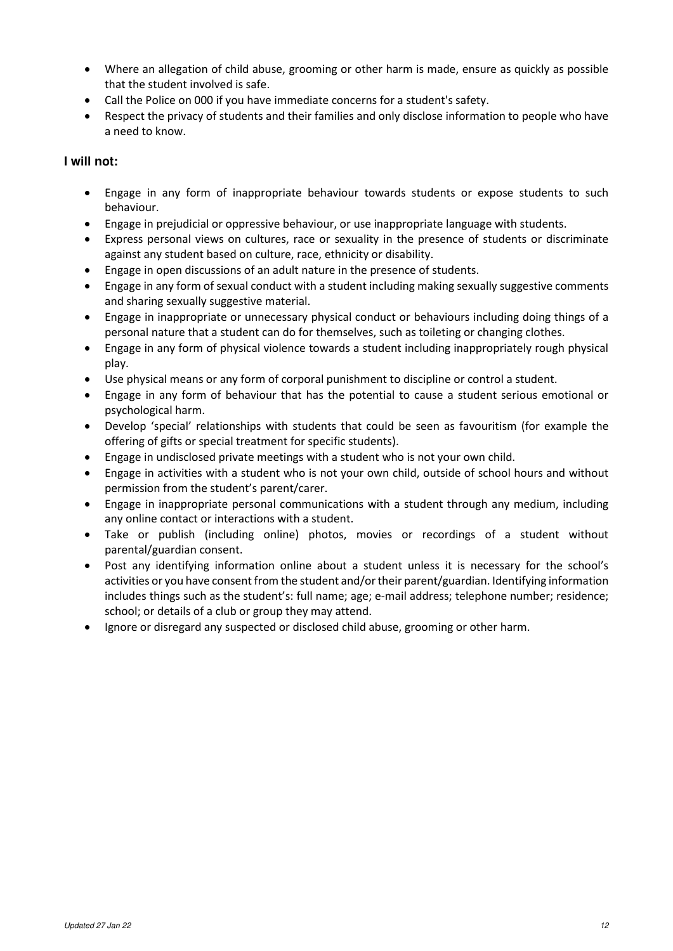- Where an allegation of child abuse, grooming or other harm is made, ensure as quickly as possible that the student involved is safe.
- Call the Police on 000 if you have immediate concerns for a student's safety.
- Respect the privacy of students and their families and only disclose information to people who have a need to know.

# **I will not:**

- Engage in any form of inappropriate behaviour towards students or expose students to such behaviour.
- Engage in prejudicial or oppressive behaviour, or use inappropriate language with students.
- Express personal views on cultures, race or sexuality in the presence of students or discriminate against any student based on culture, race, ethnicity or disability.
- Engage in open discussions of an adult nature in the presence of students.
- Engage in any form of sexual conduct with a student including making sexually suggestive comments and sharing sexually suggestive material.
- Engage in inappropriate or unnecessary physical conduct or behaviours including doing things of a personal nature that a student can do for themselves, such as toileting or changing clothes.
- Engage in any form of physical violence towards a student including inappropriately rough physical play.
- Use physical means or any form of corporal punishment to discipline or control a student.
- Engage in any form of behaviour that has the potential to cause a student serious emotional or psychological harm.
- Develop 'special' relationships with students that could be seen as favouritism (for example the offering of gifts or special treatment for specific students).
- Engage in undisclosed private meetings with a student who is not your own child.
- Engage in activities with a student who is not your own child, outside of school hours and without permission from the student's parent/carer.
- Engage in inappropriate personal communications with a student through any medium, including any online contact or interactions with a student.
- Take or publish (including online) photos, movies or recordings of a student without parental/guardian consent.
- Post any identifying information online about a student unless it is necessary for the school's activities or you have consent from the student and/or their parent/guardian. Identifying information includes things such as the student's: full name; age; e-mail address; telephone number; residence; school; or details of a club or group they may attend.
- Ignore or disregard any suspected or disclosed child abuse, grooming or other harm.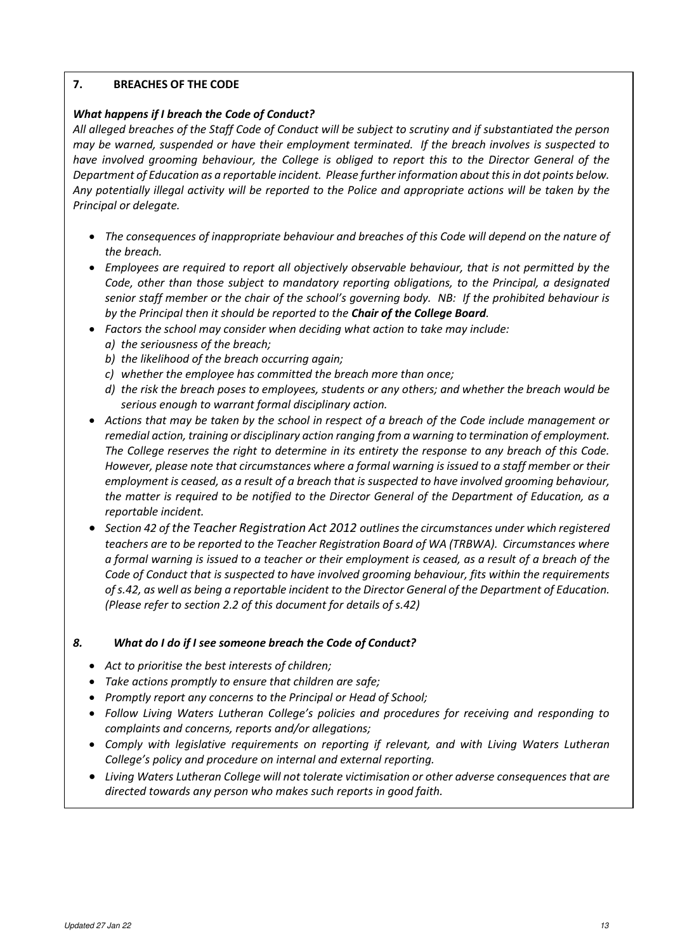# **7. BREACHES OF THE CODE**

# *What happens if I breach the Code of Conduct?*

*All alleged breaches of the Staff Code of Conduct will be subject to scrutiny and if substantiated the person may be warned, suspended or have their employment terminated. If the breach involves is suspected to have involved grooming behaviour, the College is obliged to report this to the Director General of the Department of Education as a reportable incident. Please further information about this in dot points below. Any potentially illegal activity will be reported to the Police and appropriate actions will be taken by the Principal or delegate.* 

- *The consequences of inappropriate behaviour and breaches of this Code will depend on the nature of the breach.*
- *Employees are required to report all objectively observable behaviour, that is not permitted by the Code, other than those subject to mandatory reporting obligations, to the Principal, a designated senior staff member or the chair of the school's governing body. NB: If the prohibited behaviour is by the Principal then it should be reported to the Chair of the College Board.*
- *Factors the school may consider when deciding what action to take may include: a) the seriousness of the breach;* 
	- *b) the likelihood of the breach occurring again;*
	- *c) whether the employee has committed the breach more than once;*
	- *d) the risk the breach poses to employees, students or any others; and whether the breach would be serious enough to warrant formal disciplinary action.*
- *Actions that may be taken by the school in respect of a breach of the Code include management or remedial action, training or disciplinary action ranging from a warning to termination of employment. The College reserves the right to determine in its entirety the response to any breach of this Code. However, please note that circumstances where a formal warning is issued to a staff member or their employment is ceased, as a result of a breach that is suspected to have involved grooming behaviour, the matter is required to be notified to the Director General of the Department of Education, as a reportable incident.*
- *Section 42 of the Teacher Registration Act 2012 outlines the circumstances under which registered teachers are to be reported to the Teacher Registration Board of WA (TRBWA). Circumstances where a formal warning is issued to a teacher or their employment is ceased, as a result of a breach of the Code of Conduct that is suspected to have involved grooming behaviour, fits within the requirements of s.42, as well as being a reportable incident to the Director General of the Department of Education. (Please refer to section 2.2 of this document for details of s.42)*

### *8. What do I do if I see someone breach the Code of Conduct?*

- *Act to prioritise the best interests of children;*
- *Take actions promptly to ensure that children are safe;*
- *Promptly report any concerns to the Principal or Head of School;*
- *Follow Living Waters Lutheran College's policies and procedures for receiving and responding to complaints and concerns, reports and/or allegations;*
- *Comply with legislative requirements on reporting if relevant, and with Living Waters Lutheran College's policy and procedure on internal and external reporting.*
- *Living Waters Lutheran College will not tolerate victimisation or other adverse consequences that are directed towards any person who makes such reports in good faith.*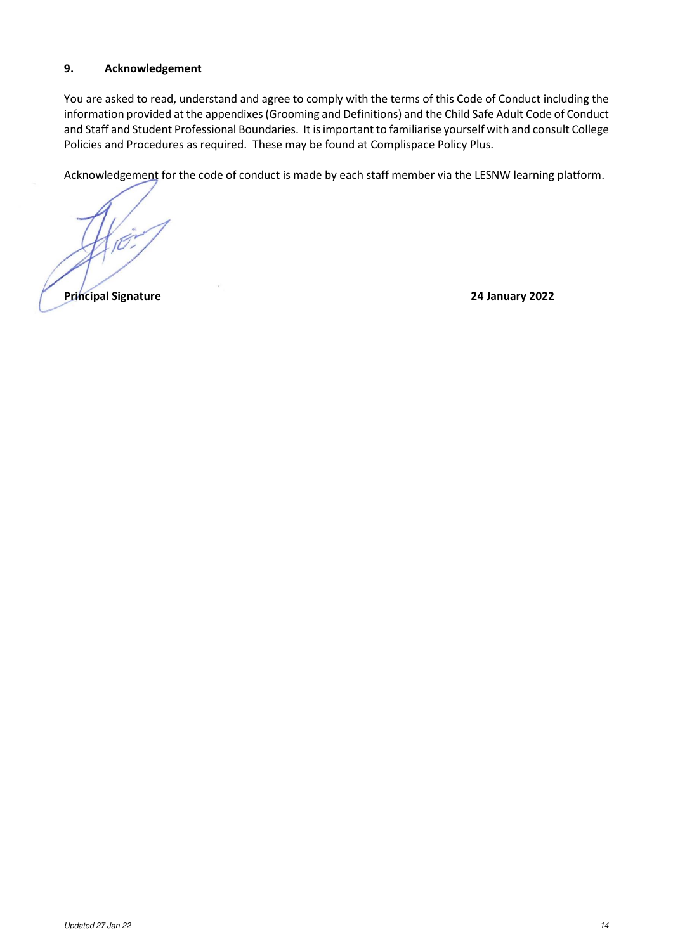# **9. Acknowledgement**

You are asked to read, understand and agree to comply with the terms of this Code of Conduct including the information provided at the appendixes (Grooming and Definitions) and the Child Safe Adult Code of Conduct and Staff and Student Professional Boundaries. It is important to familiarise yourself with and consult College Policies and Procedures as required. These may be found at Complispace Policy Plus.

Acknowledgement for the code of conduct is made by each staff member via the LESNW learning platform.

**Principal Signature 24 January 2022**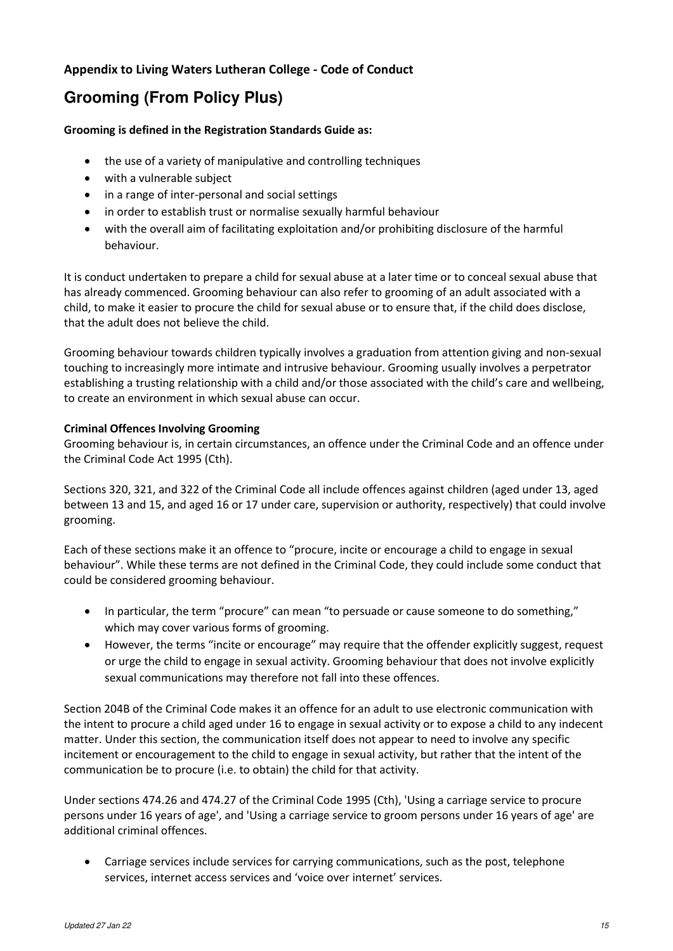# **Appendix to Living Waters Lutheran College - Code of Conduct**

# **Grooming (From Policy Plus)**

# **Grooming is defined in the Registration Standards Guide as:**

- the use of a variety of manipulative and controlling techniques
- with a vulnerable subject
- in a range of inter-personal and social settings
- in order to establish trust or normalise sexually harmful behaviour
- with the overall aim of facilitating exploitation and/or prohibiting disclosure of the harmful behaviour.

It is conduct undertaken to prepare a child for sexual abuse at a later time or to conceal sexual abuse that has already commenced. Grooming behaviour can also refer to grooming of an adult associated with a child, to make it easier to procure the child for sexual abuse or to ensure that, if the child does disclose, that the adult does not believe the child.

Grooming behaviour towards children typically involves a graduation from attention giving and non-sexual touching to increasingly more intimate and intrusive behaviour. Grooming usually involves a perpetrator establishing a trusting relationship with a child and/or those associated with the child's care and wellbeing, to create an environment in which sexual abuse can occur.

# **Criminal Offences Involving Grooming**

Grooming behaviour is, in certain circumstances, an offence under the Criminal Code and an offence under the Criminal Code Act 1995 (Cth).

Sections 320, 321, and 322 of the Criminal Code all include offences against children (aged under 13, aged between 13 and 15, and aged 16 or 17 under care, supervision or authority, respectively) that could involve grooming.

Each of these sections make it an offence to "procure, incite or encourage a child to engage in sexual behaviour". While these terms are not defined in the Criminal Code, they could include some conduct that could be considered grooming behaviour.

- In particular, the term "procure" can mean "to persuade or cause someone to do something," which may cover various forms of grooming.
- However, the terms "incite or encourage" may require that the offender explicitly suggest, request or urge the child to engage in sexual activity. Grooming behaviour that does not involve explicitly sexual communications may therefore not fall into these offences.

Section 204B of the Criminal Code makes it an offence for an adult to use electronic communication with the intent to procure a child aged under 16 to engage in sexual activity or to expose a child to any indecent matter. Under this section, the communication itself does not appear to need to involve any specific incitement or encouragement to the child to engage in sexual activity, but rather that the intent of the communication be to procure (i.e. to obtain) the child for that activity.

Under sections 474.26 and 474.27 of the Criminal Code 1995 (Cth), 'Using a carriage service to procure persons under 16 years of age', and 'Using a carriage service to groom persons under 16 years of age' are additional criminal offences.

• Carriage services include services for carrying communications, such as the post, telephone services, internet access services and 'voice over internet' services.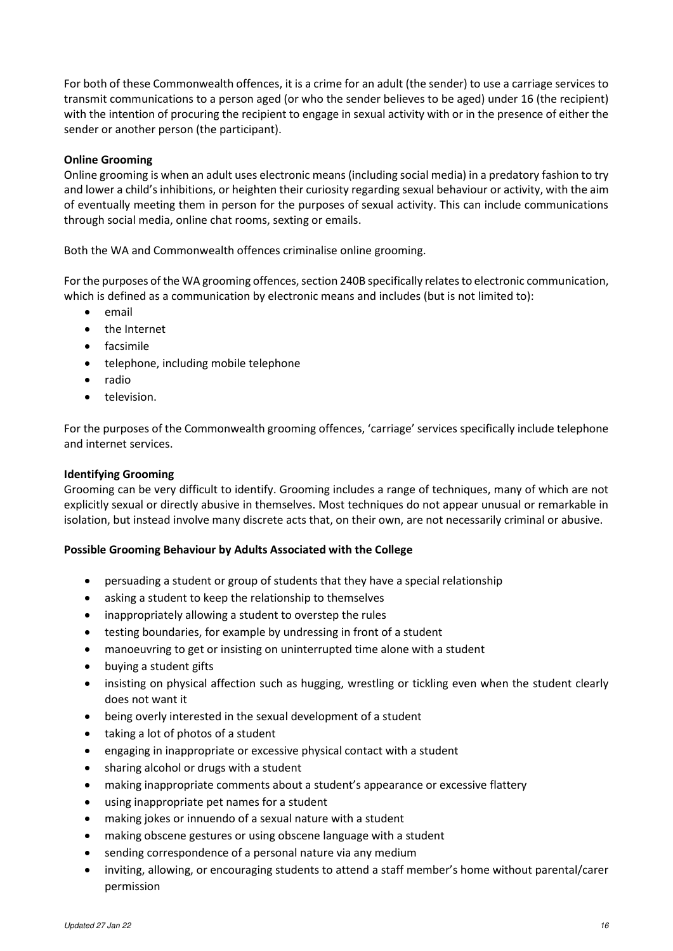For both of these Commonwealth offences, it is a crime for an adult (the sender) to use a carriage services to transmit communications to a person aged (or who the sender believes to be aged) under 16 (the recipient) with the intention of procuring the recipient to engage in sexual activity with or in the presence of either the sender or another person (the participant).

# **Online Grooming**

Online grooming is when an adult uses electronic means (including social media) in a predatory fashion to try and lower a child's inhibitions, or heighten their curiosity regarding sexual behaviour or activity, with the aim of eventually meeting them in person for the purposes of sexual activity. This can include communications through social media, online chat rooms, sexting or emails.

Both the WA and Commonwealth offences criminalise online grooming.

For the purposes of the WA grooming offences, section 240B specifically relates to electronic communication, which is defined as a communication by electronic means and includes (but is not limited to):

- email
- the Internet
- facsimile
- telephone, including mobile telephone
- radio
- television.

For the purposes of the Commonwealth grooming offences, 'carriage' services specifically include telephone and internet services.

### **Identifying Grooming**

Grooming can be very difficult to identify. Grooming includes a range of techniques, many of which are not explicitly sexual or directly abusive in themselves. Most techniques do not appear unusual or remarkable in isolation, but instead involve many discrete acts that, on their own, are not necessarily criminal or abusive.

### **Possible Grooming Behaviour by Adults Associated with the College**

- persuading a student or group of students that they have a special relationship
- asking a student to keep the relationship to themselves
- inappropriately allowing a student to overstep the rules
- testing boundaries, for example by undressing in front of a student
- manoeuvring to get or insisting on uninterrupted time alone with a student
- buying a student gifts
- insisting on physical affection such as hugging, wrestling or tickling even when the student clearly does not want it
- being overly interested in the sexual development of a student
- taking a lot of photos of a student
- engaging in inappropriate or excessive physical contact with a student
- sharing alcohol or drugs with a student
- making inappropriate comments about a student's appearance or excessive flattery
- using inappropriate pet names for a student
- making jokes or innuendo of a sexual nature with a student
- making obscene gestures or using obscene language with a student
- sending correspondence of a personal nature via any medium
- inviting, allowing, or encouraging students to attend a staff member's home without parental/carer permission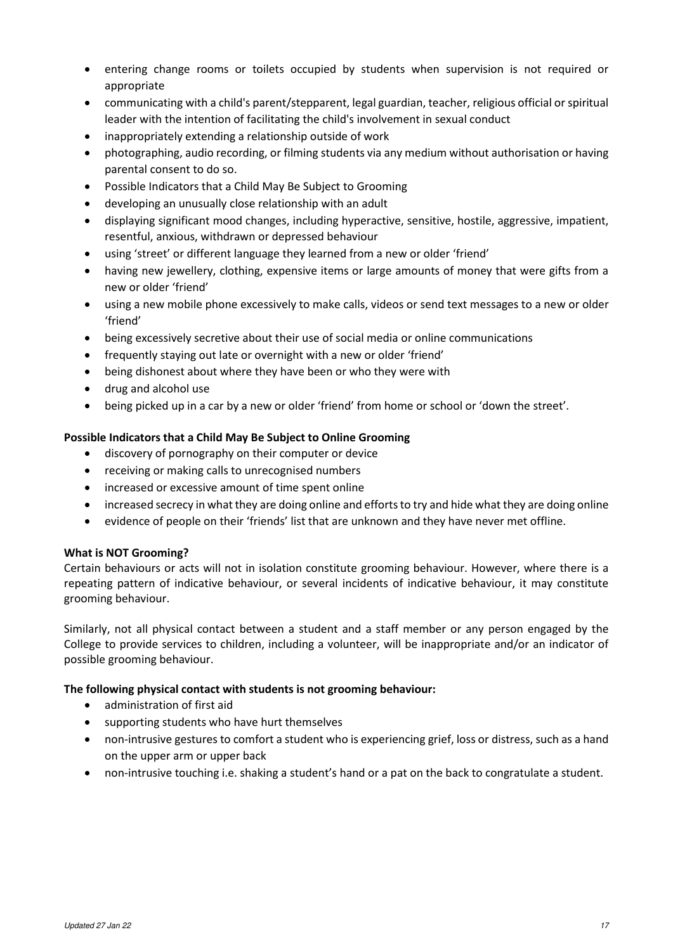- entering change rooms or toilets occupied by students when supervision is not required or appropriate
- communicating with a child's parent/stepparent, legal guardian, teacher, religious official or spiritual leader with the intention of facilitating the child's involvement in sexual conduct
- inappropriately extending a relationship outside of work
- photographing, audio recording, or filming students via any medium without authorisation or having parental consent to do so.
- Possible Indicators that a Child May Be Subject to Grooming
- developing an unusually close relationship with an adult
- displaying significant mood changes, including hyperactive, sensitive, hostile, aggressive, impatient, resentful, anxious, withdrawn or depressed behaviour
- using 'street' or different language they learned from a new or older 'friend'
- having new jewellery, clothing, expensive items or large amounts of money that were gifts from a new or older 'friend'
- using a new mobile phone excessively to make calls, videos or send text messages to a new or older 'friend'
- being excessively secretive about their use of social media or online communications
- frequently staying out late or overnight with a new or older 'friend'
- being dishonest about where they have been or who they were with
- drug and alcohol use
- being picked up in a car by a new or older 'friend' from home or school or 'down the street'.

# **Possible Indicators that a Child May Be Subject to Online Grooming**

- discovery of pornography on their computer or device
- receiving or making calls to unrecognised numbers
- increased or excessive amount of time spent online
- increased secrecy in what they are doing online and efforts to try and hide what they are doing online
- evidence of people on their 'friends' list that are unknown and they have never met offline.

### **What is NOT Grooming?**

Certain behaviours or acts will not in isolation constitute grooming behaviour. However, where there is a repeating pattern of indicative behaviour, or several incidents of indicative behaviour, it may constitute grooming behaviour.

Similarly, not all physical contact between a student and a staff member or any person engaged by the College to provide services to children, including a volunteer, will be inappropriate and/or an indicator of possible grooming behaviour.

### **The following physical contact with students is not grooming behaviour:**

- administration of first aid
- supporting students who have hurt themselves
- non-intrusive gestures to comfort a student who is experiencing grief, loss or distress, such as a hand on the upper arm or upper back
- non-intrusive touching i.e. shaking a student's hand or a pat on the back to congratulate a student.